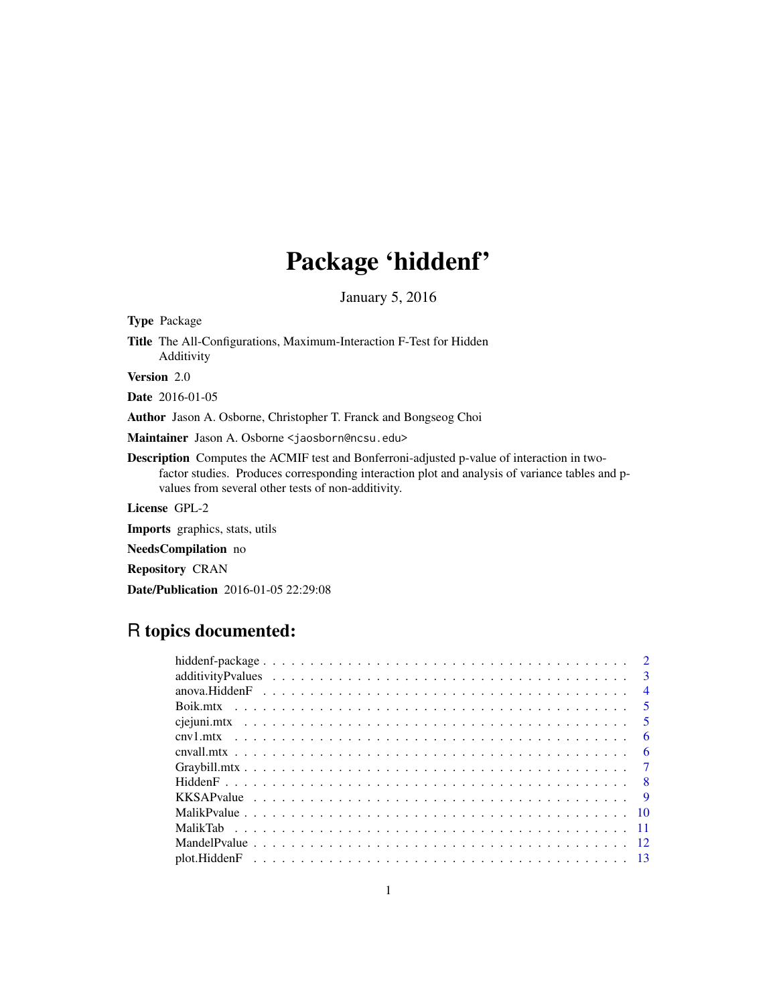# Package 'hiddenf'

January 5, 2016

Type Package Title The All-Configurations, Maximum-Interaction F-Test for Hidden Additivity Version 2.0 Date 2016-01-05 Author Jason A. Osborne, Christopher T. Franck and Bongseog Choi Maintainer Jason A. Osborne <jaosborn@ncsu.edu> Description Computes the ACMIF test and Bonferroni-adjusted p-value of interaction in twofactor studies. Produces corresponding interaction plot and analysis of variance tables and pvalues from several other tests of non-additivity. License GPL-2

Imports graphics, stats, utils

NeedsCompilation no

Repository CRAN

Date/Publication 2016-01-05 22:29:08

# R topics documented:

|  | $\overline{4}$ |
|--|----------------|
|  |                |
|  |                |
|  | - 6            |
|  | - 6            |
|  |                |
|  |                |
|  |                |
|  |                |
|  |                |
|  |                |
|  |                |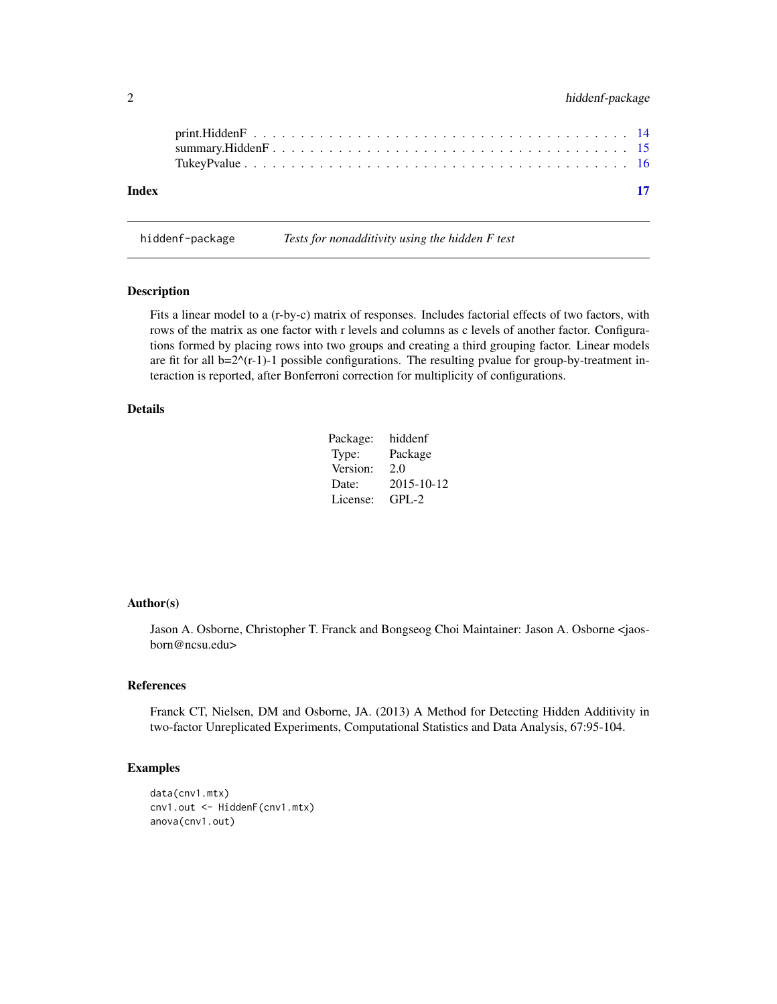<span id="page-1-0"></span>

| Index |  |
|-------|--|

hiddenf-package *Tests for nonadditivity using the hidden F test*

# Description

Fits a linear model to a (r-by-c) matrix of responses. Includes factorial effects of two factors, with rows of the matrix as one factor with r levels and columns as c levels of another factor. Configurations formed by placing rows into two groups and creating a third grouping factor. Linear models are fit for all  $b=2^{\wedge}(r-1)-1$  possible configurations. The resulting pvalue for group-by-treatment interaction is reported, after Bonferroni correction for multiplicity of configurations.

# Details

| Package: | hiddenf    |
|----------|------------|
| Type:    | Package    |
| Version: | 2.0        |
| Date:    | 2015-10-12 |
| License: | $GPI - 2$  |

#### Author(s)

Jason A. Osborne, Christopher T. Franck and Bongseog Choi Maintainer: Jason A. Osborne <jaosborn@ncsu.edu>

#### References

Franck CT, Nielsen, DM and Osborne, JA. (2013) A Method for Detecting Hidden Additivity in two-factor Unreplicated Experiments, Computational Statistics and Data Analysis, 67:95-104.

```
data(cnv1.mtx)
cnv1.out <- HiddenF(cnv1.mtx)
anova(cnv1.out)
```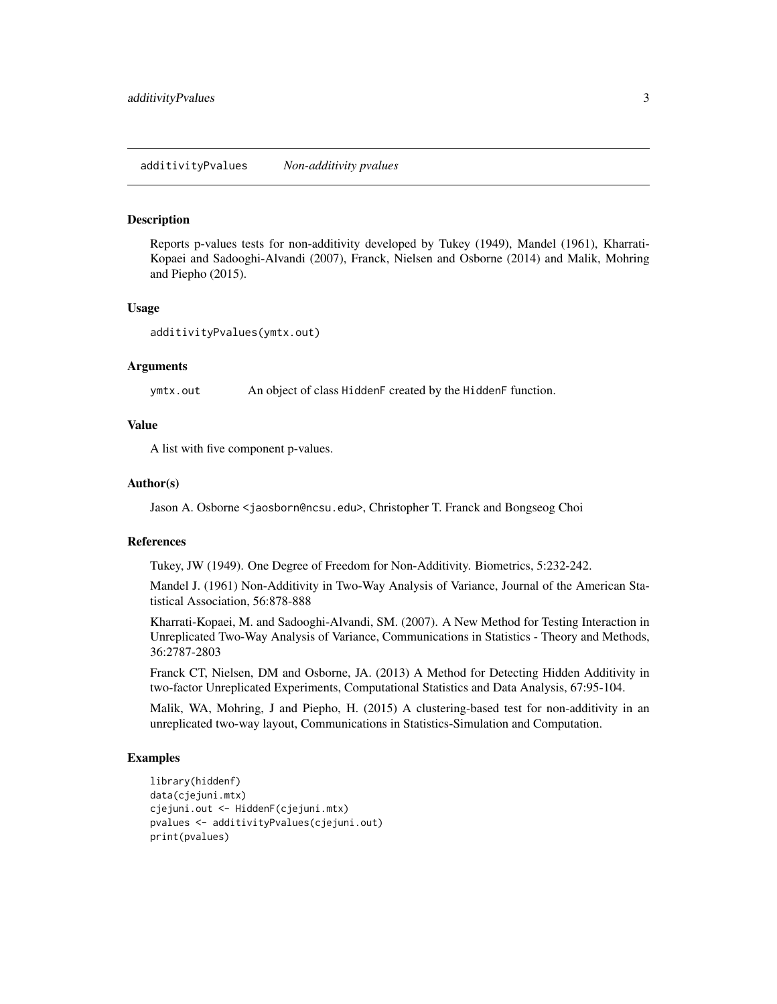<span id="page-2-0"></span>Reports p-values tests for non-additivity developed by Tukey (1949), Mandel (1961), Kharrati-Kopaei and Sadooghi-Alvandi (2007), Franck, Nielsen and Osborne (2014) and Malik, Mohring and Piepho (2015).

#### Usage

additivityPvalues(ymtx.out)

#### Arguments

ymtx.out An object of class HiddenF created by the HiddenF function.

#### Value

A list with five component p-values.

#### Author(s)

Jason A. Osborne <jaosborn@ncsu.edu>, Christopher T. Franck and Bongseog Choi

#### References

Tukey, JW (1949). One Degree of Freedom for Non-Additivity. Biometrics, 5:232-242.

Mandel J. (1961) Non-Additivity in Two-Way Analysis of Variance, Journal of the American Statistical Association, 56:878-888

Kharrati-Kopaei, M. and Sadooghi-Alvandi, SM. (2007). A New Method for Testing Interaction in Unreplicated Two-Way Analysis of Variance, Communications in Statistics - Theory and Methods, 36:2787-2803

Franck CT, Nielsen, DM and Osborne, JA. (2013) A Method for Detecting Hidden Additivity in two-factor Unreplicated Experiments, Computational Statistics and Data Analysis, 67:95-104.

Malik, WA, Mohring, J and Piepho, H. (2015) A clustering-based test for non-additivity in an unreplicated two-way layout, Communications in Statistics-Simulation and Computation.

```
library(hiddenf)
data(cjejuni.mtx)
cjejuni.out <- HiddenF(cjejuni.mtx)
pvalues <- additivityPvalues(cjejuni.out)
print(pvalues)
```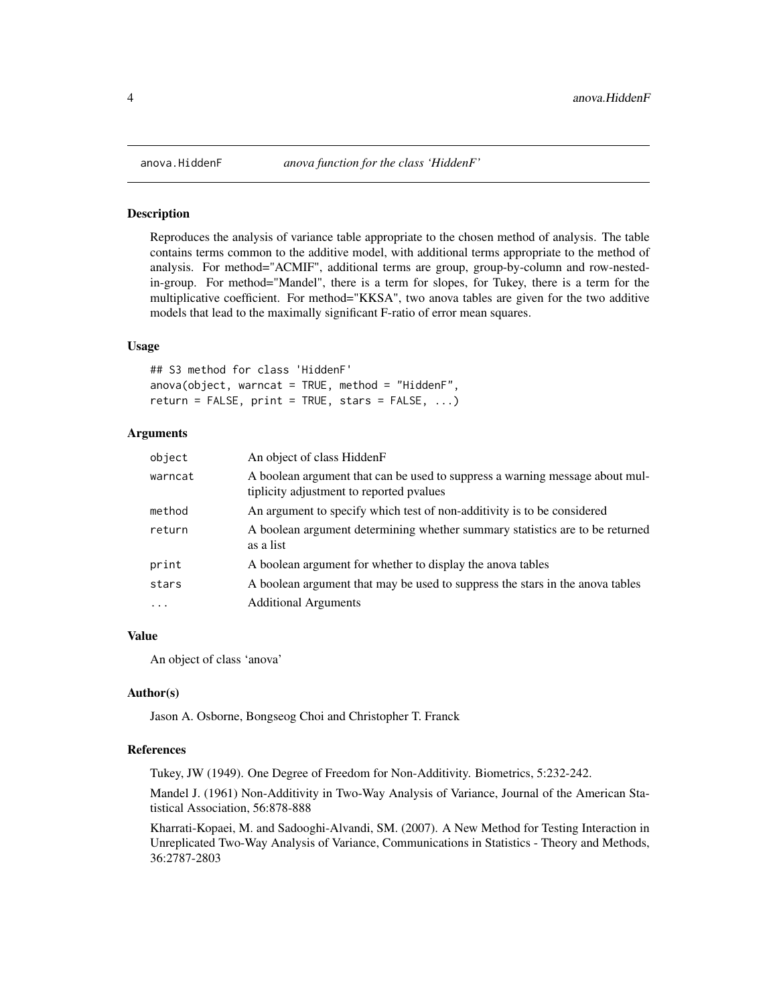<span id="page-3-0"></span>

Reproduces the analysis of variance table appropriate to the chosen method of analysis. The table contains terms common to the additive model, with additional terms appropriate to the method of analysis. For method="ACMIF", additional terms are group, group-by-column and row-nestedin-group. For method="Mandel", there is a term for slopes, for Tukey, there is a term for the multiplicative coefficient. For method="KKSA", two anova tables are given for the two additive models that lead to the maximally significant F-ratio of error mean squares.

#### Usage

## S3 method for class 'HiddenF'  $anova(object, warncat = TRUE, method = "HiddenF".$  $return = FALSE, print = TRUE, stars = FALSE, ...)$ 

#### Arguments

| object    | An object of class HiddenF                                                                                               |
|-----------|--------------------------------------------------------------------------------------------------------------------------|
| warncat   | A boolean argument that can be used to suppress a warning message about mul-<br>tiplicity adjustment to reported pvalues |
| method    | An argument to specify which test of non-additivity is to be considered                                                  |
| return    | A boolean argument determining whether summary statistics are to be returned<br>as a list                                |
| print     | A boolean argument for whether to display the anova tables                                                               |
| stars     | A boolean argument that may be used to suppress the stars in the anova tables                                            |
| $\ddotsc$ | <b>Additional Arguments</b>                                                                                              |

#### Value

An object of class 'anova'

#### Author(s)

Jason A. Osborne, Bongseog Choi and Christopher T. Franck

#### References

Tukey, JW (1949). One Degree of Freedom for Non-Additivity. Biometrics, 5:232-242.

Mandel J. (1961) Non-Additivity in Two-Way Analysis of Variance, Journal of the American Statistical Association, 56:878-888

Kharrati-Kopaei, M. and Sadooghi-Alvandi, SM. (2007). A New Method for Testing Interaction in Unreplicated Two-Way Analysis of Variance, Communications in Statistics - Theory and Methods, 36:2787-2803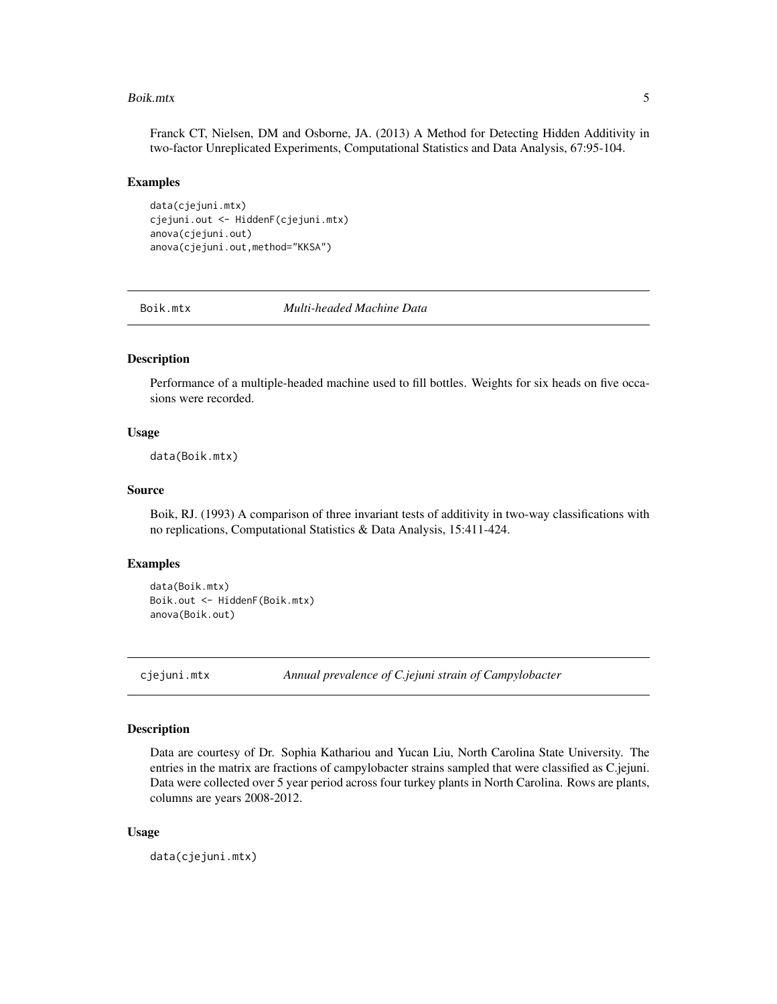#### <span id="page-4-0"></span>Boik.mtx 5

Franck CT, Nielsen, DM and Osborne, JA. (2013) A Method for Detecting Hidden Additivity in two-factor Unreplicated Experiments, Computational Statistics and Data Analysis, 67:95-104.

#### Examples

data(cjejuni.mtx) cjejuni.out <- HiddenF(cjejuni.mtx) anova(cjejuni.out) anova(cjejuni.out,method="KKSA")

Boik.mtx *Multi-headed Machine Data*

#### Description

Performance of a multiple-headed machine used to fill bottles. Weights for six heads on five occasions were recorded.

#### Usage

data(Boik.mtx)

# Source

Boik, RJ. (1993) A comparison of three invariant tests of additivity in two-way classifications with no replications, Computational Statistics & Data Analysis, 15:411-424.

# Examples

```
data(Boik.mtx)
Boik.out <- HiddenF(Boik.mtx)
anova(Boik.out)
```
cjejuni.mtx *Annual prevalence of C.jejuni strain of Campylobacter*

#### Description

Data are courtesy of Dr. Sophia Kathariou and Yucan Liu, North Carolina State University. The entries in the matrix are fractions of campylobacter strains sampled that were classified as C.jejuni. Data were collected over 5 year period across four turkey plants in North Carolina. Rows are plants, columns are years 2008-2012.

#### Usage

data(cjejuni.mtx)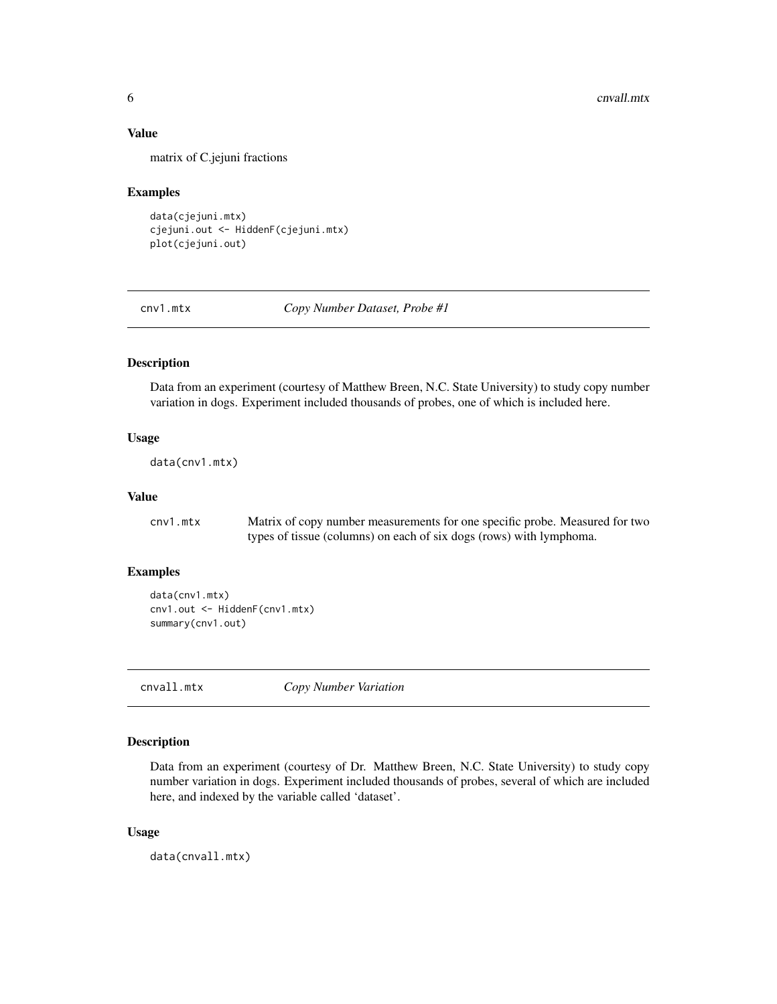# <span id="page-5-0"></span>Value

matrix of C.jejuni fractions

#### Examples

data(cjejuni.mtx) cjejuni.out <- HiddenF(cjejuni.mtx) plot(cjejuni.out)

cnv1.mtx *Copy Number Dataset, Probe #1*

# Description

Data from an experiment (courtesy of Matthew Breen, N.C. State University) to study copy number variation in dogs. Experiment included thousands of probes, one of which is included here.

# Usage

```
data(cnv1.mtx)
```
# Value

cnv1.mtx Matrix of copy number measurements for one specific probe. Measured for two types of tissue (columns) on each of six dogs (rows) with lymphoma.

# Examples

```
data(cnv1.mtx)
cnv1.out <- HiddenF(cnv1.mtx)
summary(cnv1.out)
```
cnvall.mtx *Copy Number Variation*

#### Description

Data from an experiment (courtesy of Dr. Matthew Breen, N.C. State University) to study copy number variation in dogs. Experiment included thousands of probes, several of which are included here, and indexed by the variable called 'dataset'.

#### Usage

data(cnvall.mtx)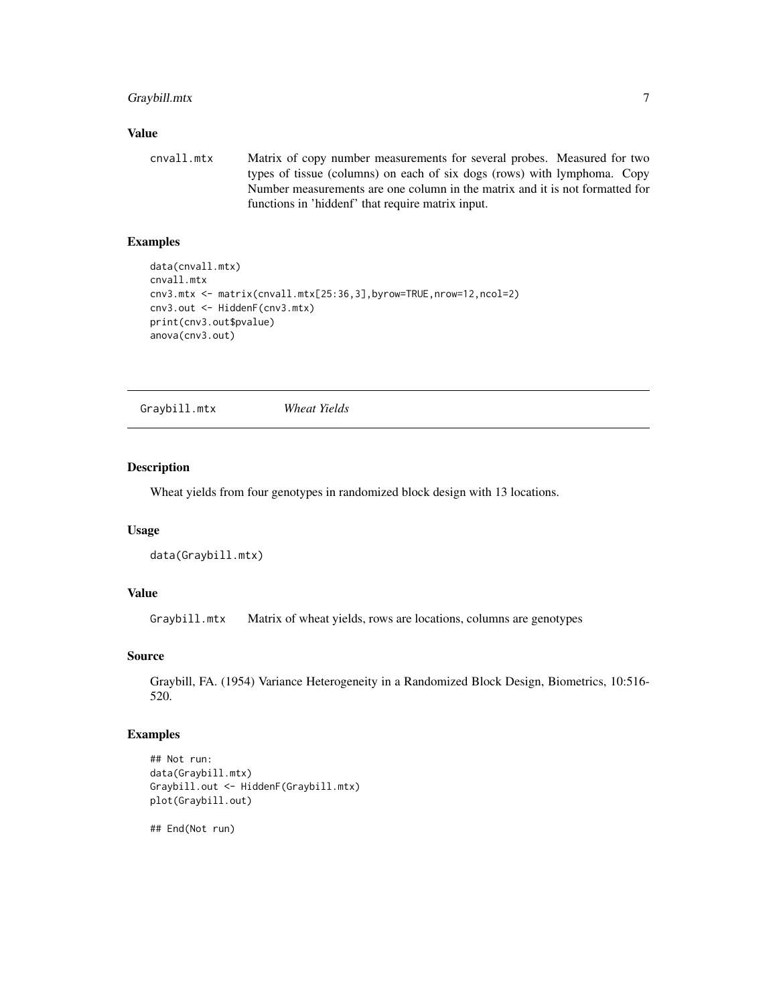# <span id="page-6-0"></span>Graybill.mtx 7

#### Value

cnvall.mtx Matrix of copy number measurements for several probes. Measured for two types of tissue (columns) on each of six dogs (rows) with lymphoma. Copy Number measurements are one column in the matrix and it is not formatted for functions in 'hiddenf' that require matrix input.

# Examples

```
data(cnvall.mtx)
cnvall.mtx
cnv3.mtx <- matrix(cnvall.mtx[25:36,3],byrow=TRUE,nrow=12,ncol=2)
cnv3.out <- HiddenF(cnv3.mtx)
print(cnv3.out$pvalue)
anova(cnv3.out)
```
Graybill.mtx *Wheat Yields*

# Description

Wheat yields from four genotypes in randomized block design with 13 locations.

#### Usage

```
data(Graybill.mtx)
```
# Value

Graybill.mtx Matrix of wheat yields, rows are locations, columns are genotypes

# Source

Graybill, FA. (1954) Variance Heterogeneity in a Randomized Block Design, Biometrics, 10:516- 520.

# Examples

```
## Not run:
data(Graybill.mtx)
Graybill.out <- HiddenF(Graybill.mtx)
plot(Graybill.out)
```
## End(Not run)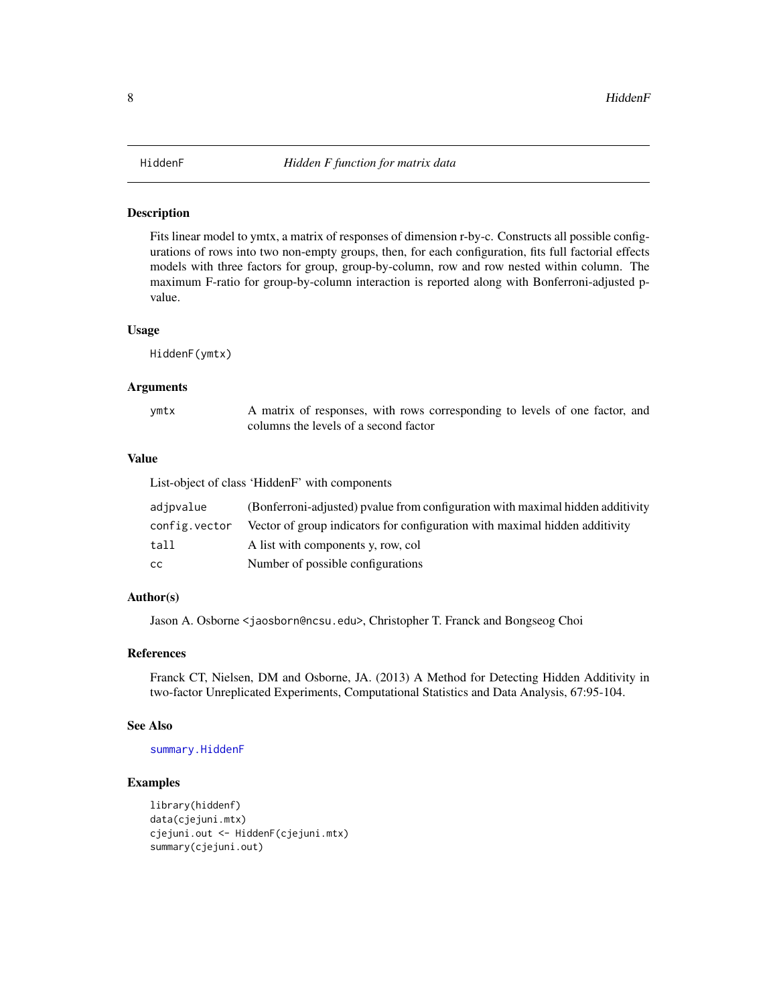<span id="page-7-1"></span><span id="page-7-0"></span>Fits linear model to ymtx, a matrix of responses of dimension r-by-c. Constructs all possible configurations of rows into two non-empty groups, then, for each configuration, fits full factorial effects models with three factors for group, group-by-column, row and row nested within column. The maximum F-ratio for group-by-column interaction is reported along with Bonferroni-adjusted pvalue.

#### Usage

HiddenF(ymtx)

#### **Arguments**

| ymtx | A matrix of responses, with rows corresponding to levels of one factor, and |
|------|-----------------------------------------------------------------------------|
|      | columns the levels of a second factor                                       |

# Value

|               | List-object of class 'HiddenF' with components                                 |
|---------------|--------------------------------------------------------------------------------|
| adjpvalue     | (Bonferroni-adjusted) pyalue from configuration with maximal hidden additivity |
| config.vector | Vector of group indicators for configuration with maximal hidden additivity    |
| tall          | A list with components y, row, col                                             |
| CC.           | Number of possible configurations                                              |

# Author(s)

Jason A. Osborne <jaosborn@ncsu.edu>, Christopher T. Franck and Bongseog Choi

#### References

Franck CT, Nielsen, DM and Osborne, JA. (2013) A Method for Detecting Hidden Additivity in two-factor Unreplicated Experiments, Computational Statistics and Data Analysis, 67:95-104.

#### See Also

[summary.HiddenF](#page-14-1)

```
library(hiddenf)
data(cjejuni.mtx)
cjejuni.out <- HiddenF(cjejuni.mtx)
summary(cjejuni.out)
```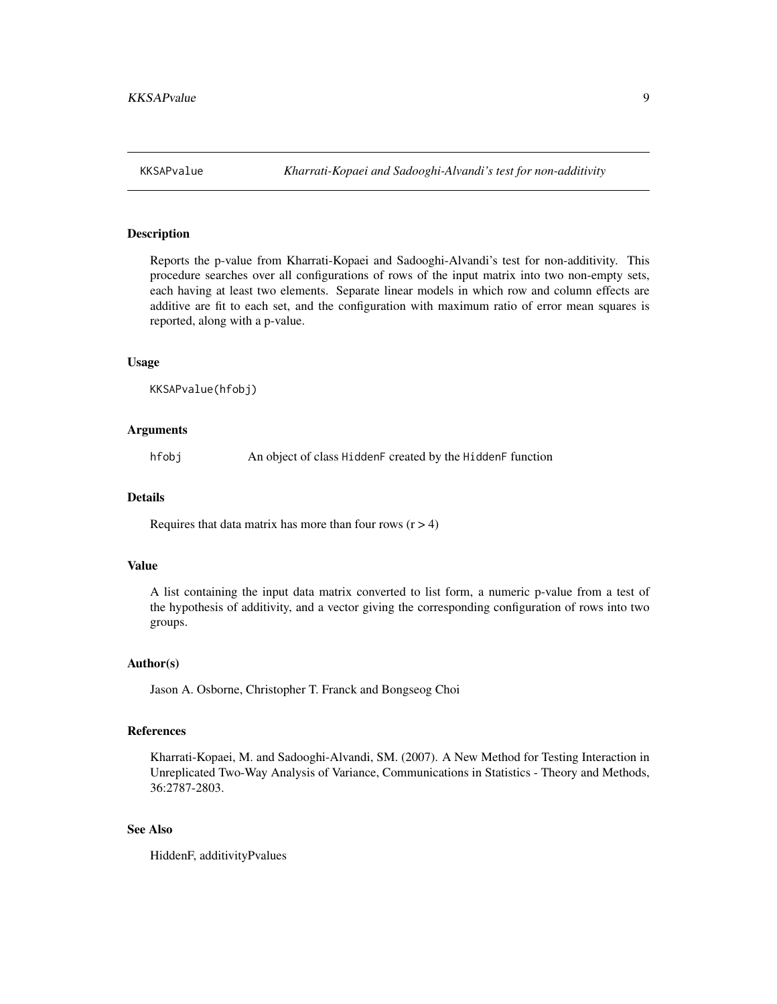<span id="page-8-0"></span>

Reports the p-value from Kharrati-Kopaei and Sadooghi-Alvandi's test for non-additivity. This procedure searches over all configurations of rows of the input matrix into two non-empty sets, each having at least two elements. Separate linear models in which row and column effects are additive are fit to each set, and the configuration with maximum ratio of error mean squares is reported, along with a p-value.

#### Usage

KKSAPvalue(hfobj)

#### Arguments

hfobj An object of class HiddenF created by the HiddenF function

#### Details

Requires that data matrix has more than four rows  $(r > 4)$ 

#### Value

A list containing the input data matrix converted to list form, a numeric p-value from a test of the hypothesis of additivity, and a vector giving the corresponding configuration of rows into two groups.

# Author(s)

Jason A. Osborne, Christopher T. Franck and Bongseog Choi

# References

Kharrati-Kopaei, M. and Sadooghi-Alvandi, SM. (2007). A New Method for Testing Interaction in Unreplicated Two-Way Analysis of Variance, Communications in Statistics - Theory and Methods, 36:2787-2803.

#### See Also

HiddenF, additivityPvalues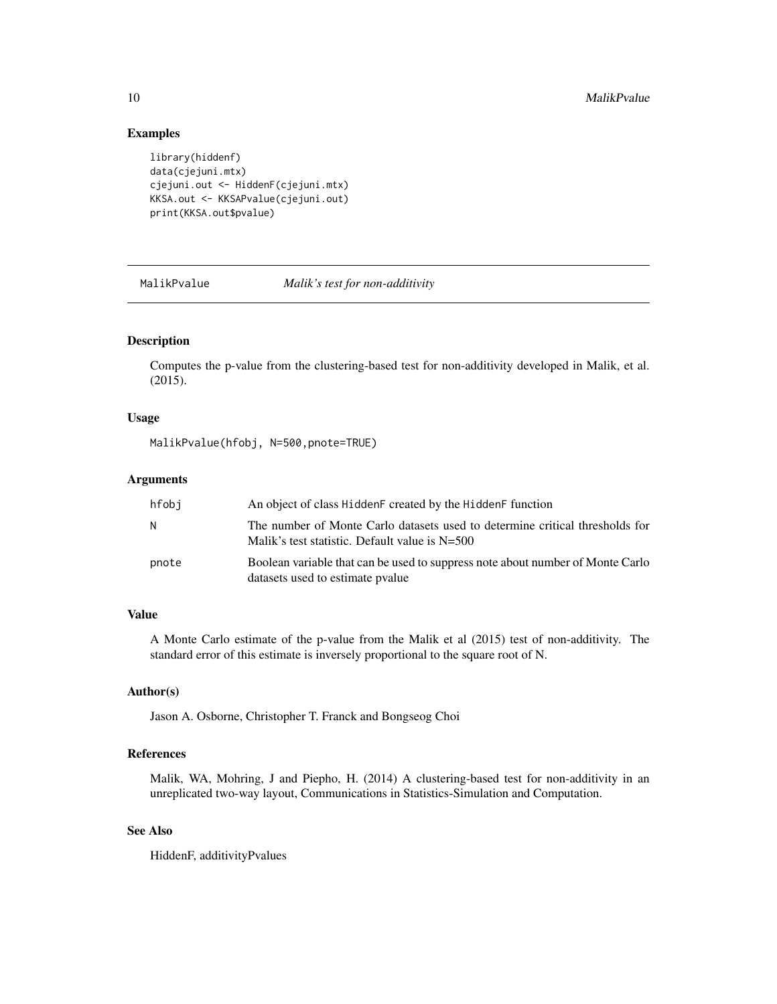### Examples

```
library(hiddenf)
data(cjejuni.mtx)
cjejuni.out <- HiddenF(cjejuni.mtx)
KKSA.out <- KKSAPvalue(cjejuni.out)
print(KKSA.out$pvalue)
```
MalikPvalue *Malik's test for non-additivity*

# Description

Computes the p-value from the clustering-based test for non-additivity developed in Malik, et al. (2015).

#### Usage

MalikPvalue(hfobj, N=500,pnote=TRUE)

# Arguments

| hfobi | An object of class HiddenF created by the HiddenF function                                                                       |
|-------|----------------------------------------------------------------------------------------------------------------------------------|
| N     | The number of Monte Carlo datasets used to determine critical thresholds for<br>Malik's test statistic. Default value is $N=500$ |
| pnote | Boolean variable that can be used to suppress note about number of Monte Carlo<br>datasets used to estimate pyalue               |

# Value

A Monte Carlo estimate of the p-value from the Malik et al (2015) test of non-additivity. The standard error of this estimate is inversely proportional to the square root of N.

#### Author(s)

Jason A. Osborne, Christopher T. Franck and Bongseog Choi

# References

Malik, WA, Mohring, J and Piepho, H. (2014) A clustering-based test for non-additivity in an unreplicated two-way layout, Communications in Statistics-Simulation and Computation.

# See Also

HiddenF, additivityPvalues

<span id="page-9-0"></span>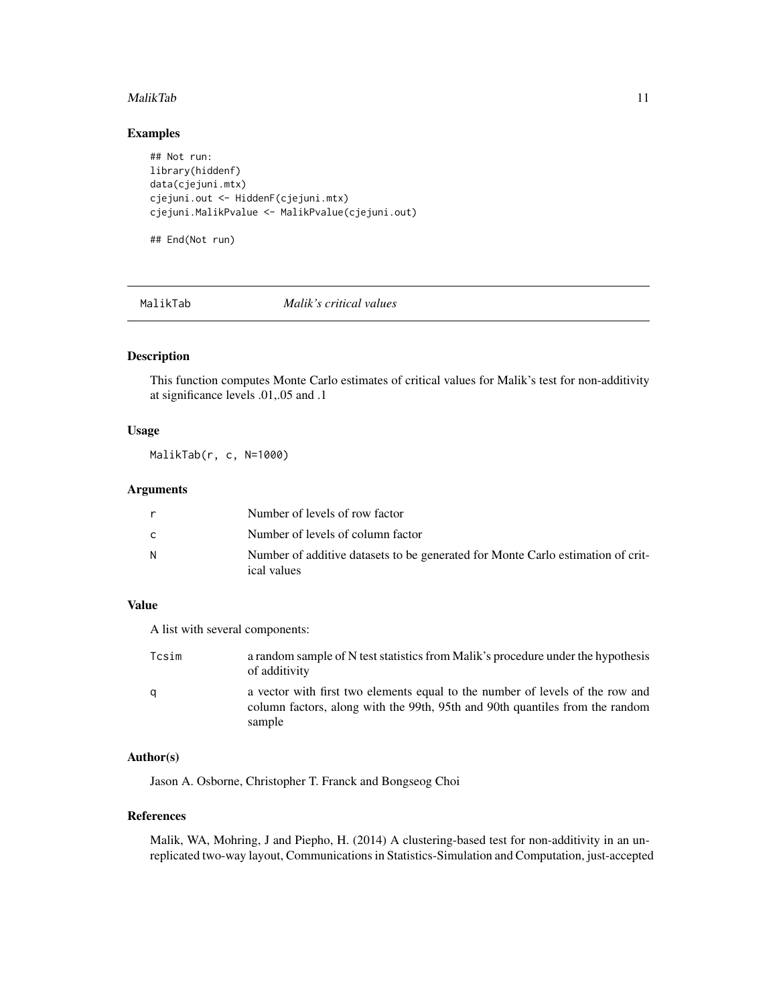#### <span id="page-10-0"></span>MalikTab 11

# Examples

## Not run: library(hiddenf) data(cjejuni.mtx) cjejuni.out <- HiddenF(cjejuni.mtx) cjejuni.MalikPvalue <- MalikPvalue(cjejuni.out)

## End(Not run)

#### MalikTab *Malik's critical values*

# Description

This function computes Monte Carlo estimates of critical values for Malik's test for non-additivity at significance levels .01,.05 and .1

#### Usage

MalikTab(r, c, N=1000)

# Arguments

| r | Number of levels of row factor                                                                 |
|---|------------------------------------------------------------------------------------------------|
| C | Number of levels of column factor                                                              |
| N | Number of additive datasets to be generated for Monte Carlo estimation of crit-<br>ical values |

#### Value

A list with several components:

| Tcsim | a random sample of N test statistics from Malik's procedure under the hypothesis<br>of additivity                                                                       |
|-------|-------------------------------------------------------------------------------------------------------------------------------------------------------------------------|
| q     | a vector with first two elements equal to the number of levels of the row and<br>column factors, along with the 99th, 95th and 90th quantiles from the random<br>sample |

# Author(s)

Jason A. Osborne, Christopher T. Franck and Bongseog Choi

# References

Malik, WA, Mohring, J and Piepho, H. (2014) A clustering-based test for non-additivity in an unreplicated two-way layout, Communications in Statistics-Simulation and Computation, just-accepted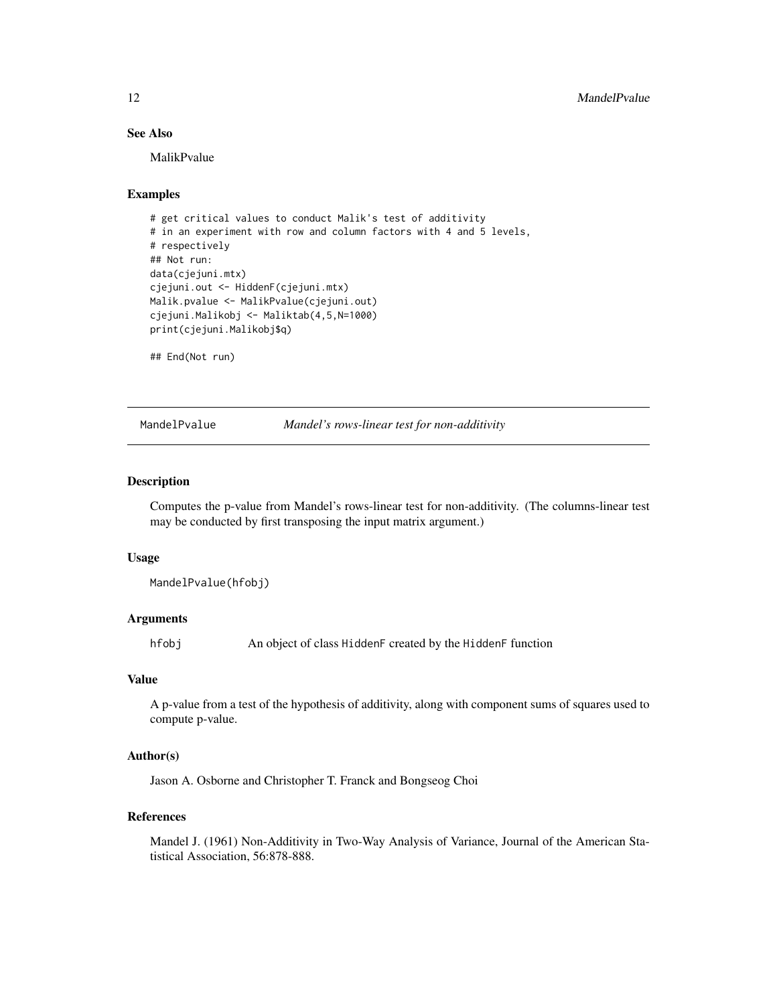# See Also

MalikPvalue

# Examples

```
# get critical values to conduct Malik's test of additivity
# in an experiment with row and column factors with 4 and 5 levels,
# respectively
## Not run:
data(cjejuni.mtx)
cjejuni.out <- HiddenF(cjejuni.mtx)
Malik.pvalue <- MalikPvalue(cjejuni.out)
cjejuni.Malikobj <- Maliktab(4,5,N=1000)
print(cjejuni.Malikobj$q)
```
## End(Not run)

MandelPvalue *Mandel's rows-linear test for non-additivity*

# Description

Computes the p-value from Mandel's rows-linear test for non-additivity. (The columns-linear test may be conducted by first transposing the input matrix argument.)

#### Usage

MandelPvalue(hfobj)

#### Arguments

hfobj An object of class HiddenF created by the HiddenF function

# Value

A p-value from a test of the hypothesis of additivity, along with component sums of squares used to compute p-value.

# Author(s)

Jason A. Osborne and Christopher T. Franck and Bongseog Choi

### References

Mandel J. (1961) Non-Additivity in Two-Way Analysis of Variance, Journal of the American Statistical Association, 56:878-888.

<span id="page-11-0"></span>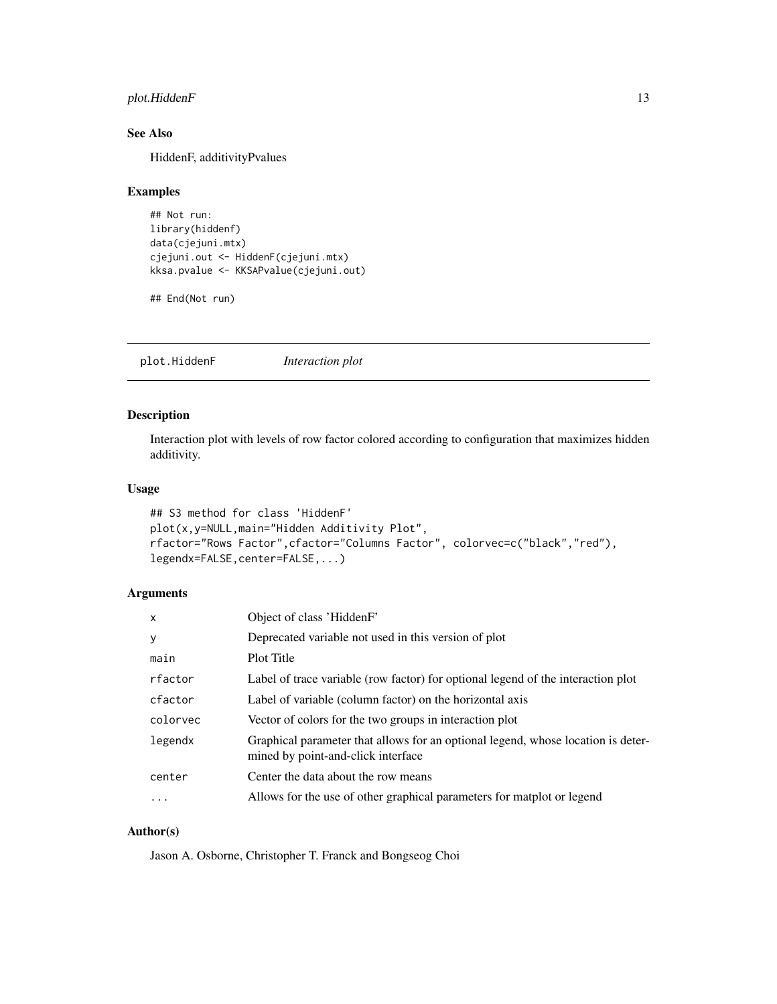# <span id="page-12-0"></span>plot.HiddenF 13

# See Also

HiddenF, additivityPvalues

# Examples

```
## Not run:
library(hiddenf)
data(cjejuni.mtx)
cjejuni.out <- HiddenF(cjejuni.mtx)
kksa.pvalue <- KKSAPvalue(cjejuni.out)
```
## End(Not run)

plot.HiddenF *Interaction plot*

# Description

Interaction plot with levels of row factor colored according to configuration that maximizes hidden additivity.

# Usage

```
## S3 method for class 'HiddenF'
plot(x,y=NULL,main="Hidden Additivity Plot",
rfactor="Rows Factor",cfactor="Columns Factor", colorvec=c("black","red"),
legendx=FALSE, center=FALSE, ...)
```
# Arguments

| $\mathsf{x}$ | Object of class 'HiddenF'                                                                                              |
|--------------|------------------------------------------------------------------------------------------------------------------------|
| У            | Deprecated variable not used in this version of plot                                                                   |
| main         | Plot Title                                                                                                             |
| rfactor      | Label of trace variable (row factor) for optional legend of the interaction plot                                       |
| cfactor      | Label of variable (column factor) on the horizontal axis                                                               |
| colorvec     | Vector of colors for the two groups in interaction plot                                                                |
| legendx      | Graphical parameter that allows for an optional legend, whose location is deter-<br>mined by point-and-click interface |
| center       | Center the data about the row means                                                                                    |
| $\ddotsc$    | Allows for the use of other graphical parameters for matplot or legend                                                 |

# Author(s)

Jason A. Osborne, Christopher T. Franck and Bongseog Choi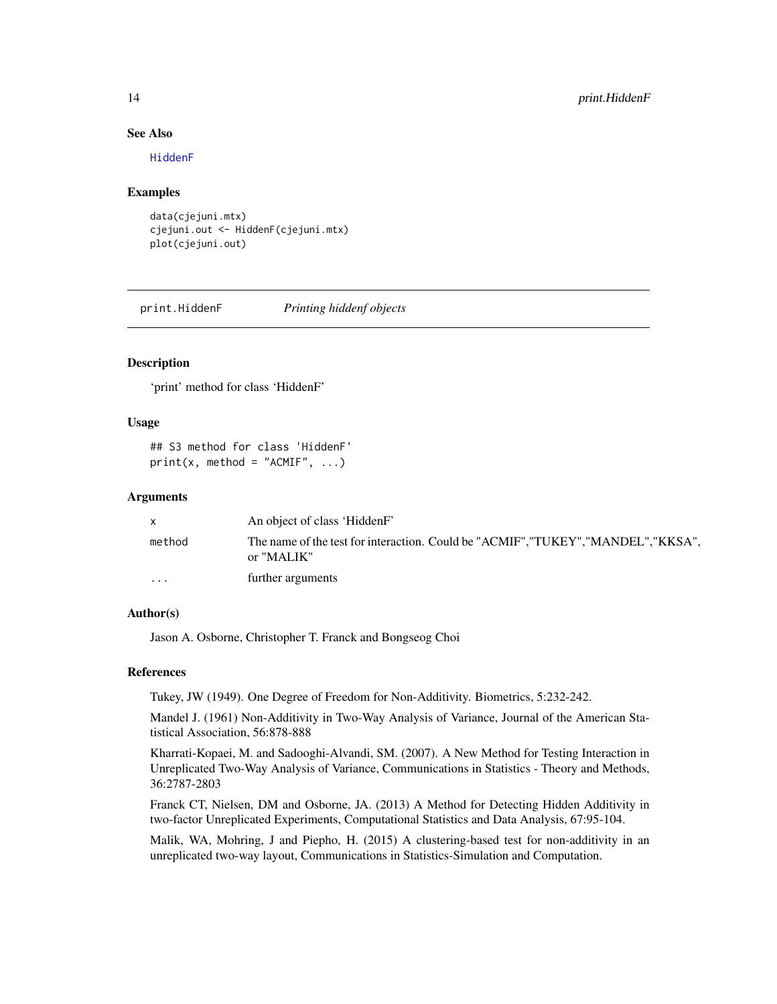#### <span id="page-13-0"></span>See Also

[HiddenF](#page-7-1)

#### Examples

data(cjejuni.mtx) cjejuni.out <- HiddenF(cjejuni.mtx) plot(cjejuni.out)

print.HiddenF *Printing hiddenf objects*

# Description

'print' method for class 'HiddenF'

# Usage

```
## S3 method for class 'HiddenF'
print(x, method = "ACMIF", ...)
```
#### Arguments

|                         | An object of class 'HiddenF'                                                                     |
|-------------------------|--------------------------------------------------------------------------------------------------|
| method                  | The name of the test for interaction. Could be "ACMIF", "TUKEY", "MANDEL", "KKSA",<br>or "MALIK" |
| $\cdot$ $\cdot$ $\cdot$ | further arguments                                                                                |

# Author(s)

Jason A. Osborne, Christopher T. Franck and Bongseog Choi

#### References

Tukey, JW (1949). One Degree of Freedom for Non-Additivity. Biometrics, 5:232-242.

Mandel J. (1961) Non-Additivity in Two-Way Analysis of Variance, Journal of the American Statistical Association, 56:878-888

Kharrati-Kopaei, M. and Sadooghi-Alvandi, SM. (2007). A New Method for Testing Interaction in Unreplicated Two-Way Analysis of Variance, Communications in Statistics - Theory and Methods, 36:2787-2803

Franck CT, Nielsen, DM and Osborne, JA. (2013) A Method for Detecting Hidden Additivity in two-factor Unreplicated Experiments, Computational Statistics and Data Analysis, 67:95-104.

Malik, WA, Mohring, J and Piepho, H. (2015) A clustering-based test for non-additivity in an unreplicated two-way layout, Communications in Statistics-Simulation and Computation.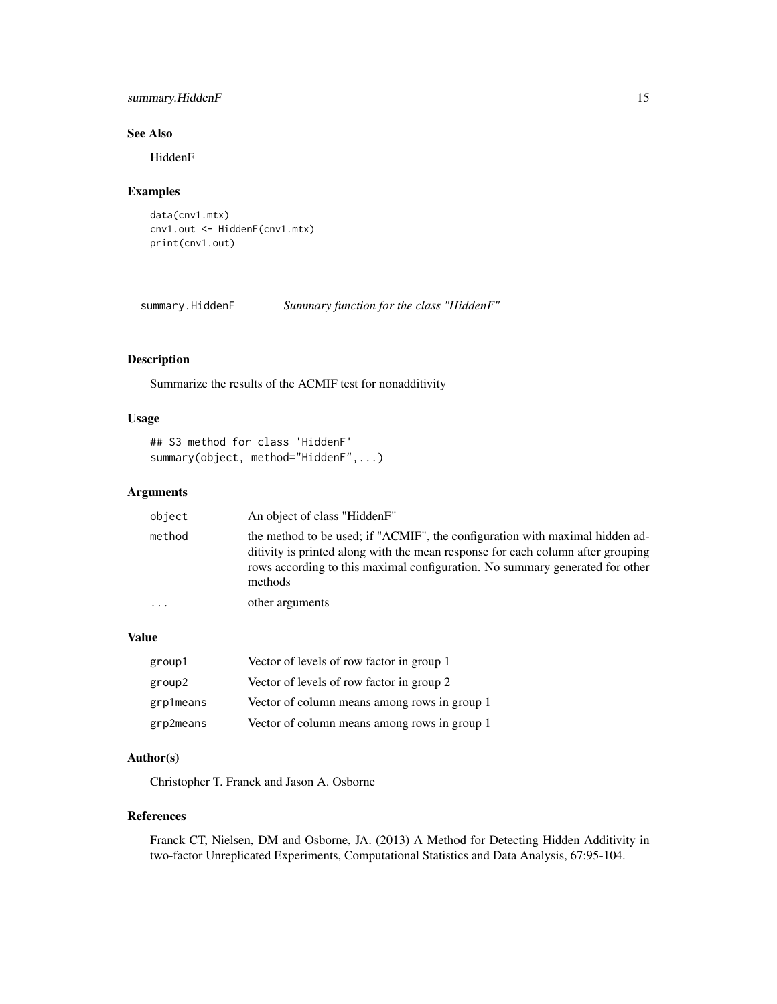# <span id="page-14-0"></span>summary.HiddenF 15

# See Also

HiddenF

# Examples

```
data(cnv1.mtx)
cnv1.out <- HiddenF(cnv1.mtx)
print(cnv1.out)
```
<span id="page-14-1"></span>summary.HiddenF *Summary function for the class "HiddenF"*

# Description

Summarize the results of the ACMIF test for nonadditivity

# Usage

```
## S3 method for class 'HiddenF'
summary(object, method="HiddenF",...)
```
# Arguments

| object | An object of class "HiddenF"                                                                                                                                                                                                                               |
|--------|------------------------------------------------------------------------------------------------------------------------------------------------------------------------------------------------------------------------------------------------------------|
| method | the method to be used; if "ACMIF", the configuration with maximal hidden ad-<br>ditivity is printed along with the mean response for each column after grouping<br>rows according to this maximal configuration. No summary generated for other<br>methods |
| .      | other arguments                                                                                                                                                                                                                                            |

# Value

| group1    | Vector of levels of row factor in group 1    |
|-----------|----------------------------------------------|
| group2    | Vector of levels of row factor in group 2    |
| grp1means | Vector of column means among rows in group 1 |
| grp2means | Vector of column means among rows in group 1 |

# Author(s)

Christopher T. Franck and Jason A. Osborne

### References

Franck CT, Nielsen, DM and Osborne, JA. (2013) A Method for Detecting Hidden Additivity in two-factor Unreplicated Experiments, Computational Statistics and Data Analysis, 67:95-104.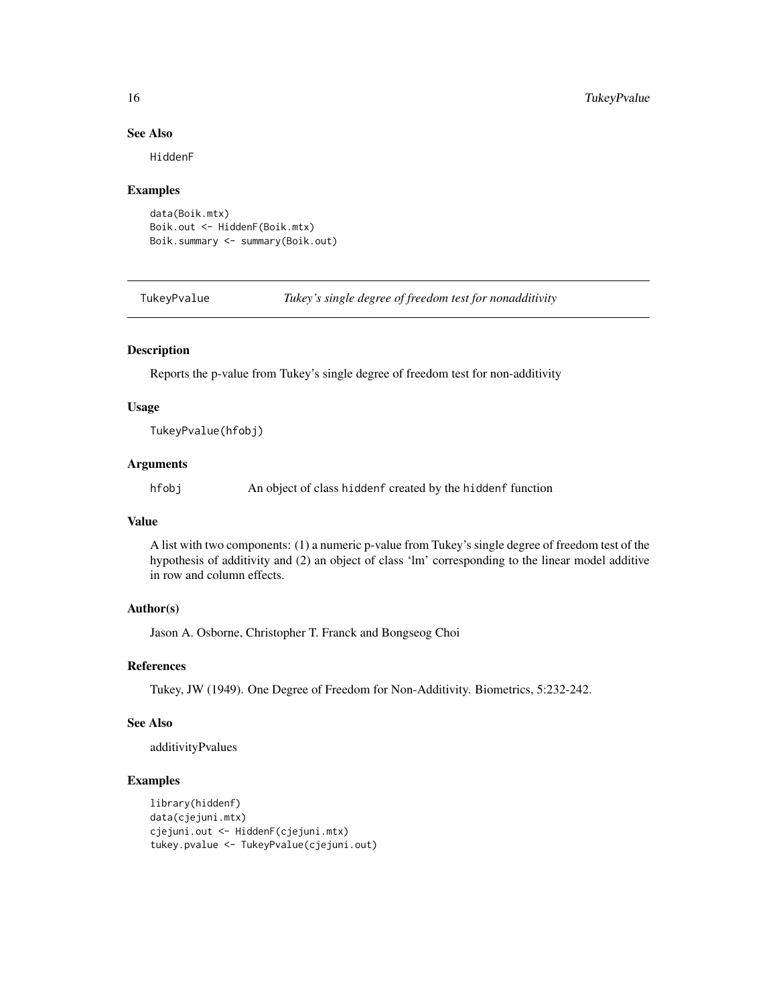# See Also

HiddenF

#### Examples

```
data(Boik.mtx)
Boik.out <- HiddenF(Boik.mtx)
Boik.summary <- summary(Boik.out)
```
TukeyPvalue *Tukey's single degree of freedom test for nonadditivity*

#### Description

Reports the p-value from Tukey's single degree of freedom test for non-additivity

#### Usage

TukeyPvalue(hfobj)

#### Arguments

hfobj An object of class hiddenf created by the hiddenf function

# Value

A list with two components: (1) a numeric p-value from Tukey's single degree of freedom test of the hypothesis of additivity and (2) an object of class 'lm' corresponding to the linear model additive in row and column effects.

#### Author(s)

Jason A. Osborne, Christopher T. Franck and Bongseog Choi

#### References

Tukey, JW (1949). One Degree of Freedom for Non-Additivity. Biometrics, 5:232-242.

#### See Also

additivityPvalues

```
library(hiddenf)
data(cjejuni.mtx)
cjejuni.out <- HiddenF(cjejuni.mtx)
tukey.pvalue <- TukeyPvalue(cjejuni.out)
```
<span id="page-15-0"></span>